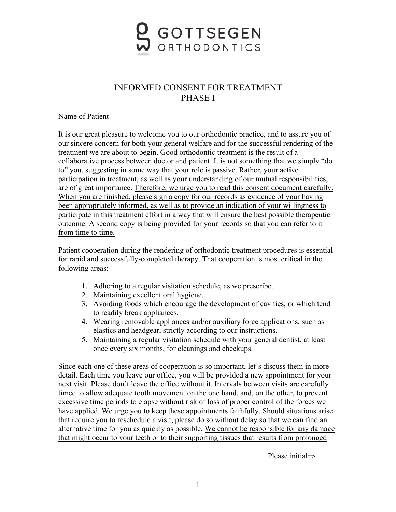

## INFORMED CONSENT FOR TREATMENT PHASE I

Name of Patient

It is our great pleasure to welcome you to our orthodontic practice, and to assure you of our sincere concern for both your general welfare and for the successful rendering of the treatment we are about to begin. Good orthodontic treatment is the result of a collaborative process between doctor and patient. It is not something that we simply "do to" you, suggesting in some way that your role is passive. Rather, your active participation in treatment, as well as your understanding of our mutual responsibilities, are of great importance. Therefore, we urge you to read this consent document carefully. When you are finished, please sign a copy for our records as evidence of your having been appropriately informed, as well as to provide an indication of your willingness to participate in this treatment effort in a way that will ensure the best possible therapeutic outcome. A second copy is being provided for your records so that you can refer to it from time to time.

Patient cooperation during the rendering of orthodontic treatment procedures is essential for rapid and successfully-completed therapy. That cooperation is most critical in the following areas:

- 1. Adhering to a regular visitation schedule, as we prescribe.
- 2. Maintaining excellent oral hygiene.
- 3. Avoiding foods which encourage the development of cavities, or which tend to readily break appliances.
- 4. Wearing removable appliances and/or auxiliary force applications, such as elastics and headgear, strictly according to our instructions.
- 5. Maintaining a regular visitation schedule with your general dentist, at least once every six months, for cleanings and checkups.

Since each one of these areas of cooperation is so important, let's discuss them in more detail. Each time you leave our office, you will be provided a new appointment for your next visit. Please don't leave the office without it. Intervals between visits are carefully timed to allow adequate tooth movement on the one hand, and, on the other, to prevent excessive time periods to elapse without risk of loss of proper control of the forces we have applied. We urge you to keep these appointments faithfully. Should situations arise that require you to reschedule a visit, please do so without delay so that we can find an alternative time for you as quickly as possible. We cannot be responsible for any damage that might occur to your teeth or to their supporting tissues that results from prolonged

Please initial⇒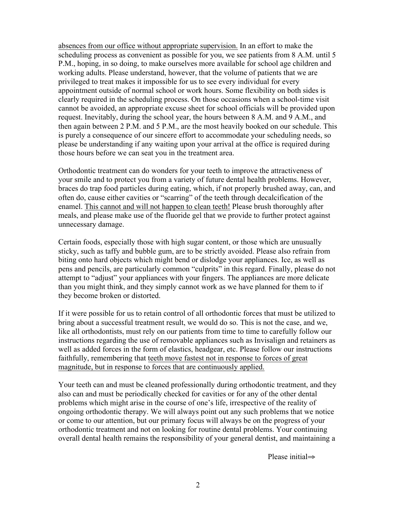absences from our office without appropriate supervision. In an effort to make the scheduling process as convenient as possible for you, we see patients from 8 A.M. until 5 P.M., hoping, in so doing, to make ourselves more available for school age children and working adults. Please understand, however, that the volume of patients that we are privileged to treat makes it impossible for us to see every individual for every appointment outside of normal school or work hours. Some flexibility on both sides is clearly required in the scheduling process. On those occasions when a school-time visit cannot be avoided, an appropriate excuse sheet for school officials will be provided upon request. Inevitably, during the school year, the hours between 8 A.M. and 9 A.M., and then again between 2 P.M. and 5 P.M., are the most heavily booked on our schedule. This is purely a consequence of our sincere effort to accommodate your scheduling needs, so please be understanding if any waiting upon your arrival at the office is required during those hours before we can seat you in the treatment area.

Orthodontic treatment can do wonders for your teeth to improve the attractiveness of your smile and to protect you from a variety of future dental health problems. However, braces do trap food particles during eating, which, if not properly brushed away, can, and often do, cause either cavities or "scarring" of the teeth through decalcification of the enamel. This cannot and will not happen to clean teeth! Please brush thoroughly after meals, and please make use of the fluoride gel that we provide to further protect against unnecessary damage.

Certain foods, especially those with high sugar content, or those which are unusually sticky, such as taffy and bubble gum, are to be strictly avoided. Please also refrain from biting onto hard objects which might bend or dislodge your appliances. Ice, as well as pens and pencils, are particularly common "culprits" in this regard. Finally, please do not attempt to "adjust" your appliances with your fingers. The appliances are more delicate than you might think, and they simply cannot work as we have planned for them to if they become broken or distorted.

If it were possible for us to retain control of all orthodontic forces that must be utilized to bring about a successful treatment result, we would do so. This is not the case, and we, like all orthodontists, must rely on our patients from time to time to carefully follow our instructions regarding the use of removable appliances such as Invisalign and retainers as well as added forces in the form of elastics, headgear, etc. Please follow our instructions faithfully, remembering that teeth move fastest not in response to forces of great magnitude, but in response to forces that are continuously applied.

Your teeth can and must be cleaned professionally during orthodontic treatment, and they also can and must be periodically checked for cavities or for any of the other dental problems which might arise in the course of one's life, irrespective of the reality of ongoing orthodontic therapy. We will always point out any such problems that we notice or come to our attention, but our primary focus will always be on the progress of your orthodontic treatment and not on looking for routine dental problems. Your continuing overall dental health remains the responsibility of your general dentist, and maintaining a

Please initial⇒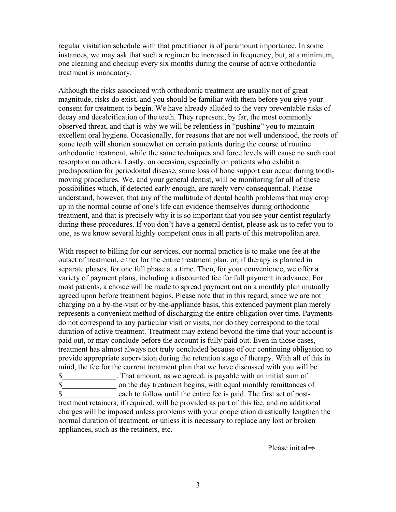regular visitation schedule with that practitioner is of paramount importance. In some instances, we may ask that such a regimen be increased in frequency, but, at a minimum, one cleaning and checkup every six months during the course of active orthodontic treatment is mandatory.

Although the risks associated with orthodontic treatment are usually not of great magnitude, risks do exist, and you should be familiar with them before you give your consent for treatment to begin. We have already alluded to the very preventable risks of decay and decalcification of the teeth. They represent, by far, the most commonly observed threat, and that is why we will be relentless in "pushing" you to maintain excellent oral hygiene. Occasionally, for reasons that are not well understood, the roots of some teeth will shorten somewhat on certain patients during the course of routine orthodontic treatment, while the same techniques and force levels will cause no such root resorption on others. Lastly, on occasion, especially on patients who exhibit a predisposition for periodontal disease, some loss of bone support can occur during toothmoving procedures. We, and your general dentist, will be monitoring for all of these possibilities which, if detected early enough, are rarely very consequential. Please understand, however, that any of the multitude of dental health problems that may crop up in the normal course of one's life can evidence themselves during orthodontic treatment, and that is precisely why it is so important that you see your dentist regularly during these procedures. If you don't have a general dentist, please ask us to refer you to one, as we know several highly competent ones in all parts of this metropolitan area.

With respect to billing for our services, our normal practice is to make one fee at the outset of treatment, either for the entire treatment plan, or, if therapy is planned in separate phases, for one full phase at a time. Then, for your convenience, we offer a variety of payment plans, including a discounted fee for full payment in advance. For most patients, a choice will be made to spread payment out on a monthly plan mutually agreed upon before treatment begins. Please note that in this regard, since we are not charging on a by-the-visit or by-the-appliance basis, this extended payment plan merely represents a convenient method of discharging the entire obligation over time. Payments do not correspond to any particular visit or visits, nor do they correspond to the total duration of active treatment. Treatment may extend beyond the time that your account is paid out, or may conclude before the account is fully paid out. Even in those cases, treatment has almost always not truly concluded because of our continuing obligation to provide appropriate supervision during the retention stage of therapy. With all of this in mind, the fee for the current treatment plan that we have discussed with you will be \$\_\_\_\_\_\_\_\_\_\_\_\_\_\_. That amount, as we agreed, is payable with an initial sum of \$\_\_\_\_\_\_\_\_\_\_\_\_\_\_ on the day treatment begins, with equal monthly remittances of \$\_\_\_\_\_\_\_\_\_\_\_\_\_\_ each to follow until the entire fee is paid. The first set of posttreatment retainers, if required, will be provided as part of this fee, and no additional

charges will be imposed unless problems with your cooperation drastically lengthen the normal duration of treatment, or unless it is necessary to replace any lost or broken appliances, such as the retainers, etc.

Please initial⇒